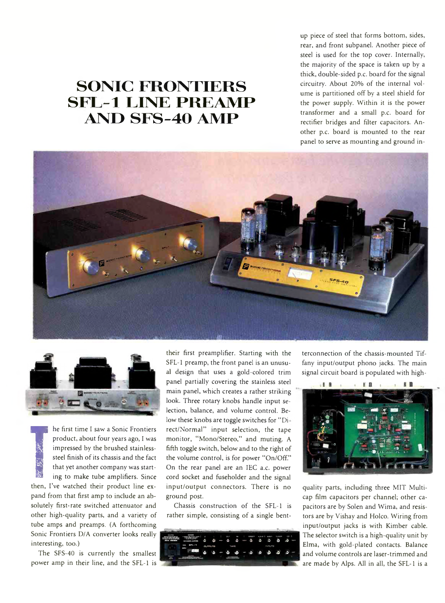# **SONIC FRONTIERS SFL-1 LINE PREAMP AND SFS-40 AMP**

up piece of steel that forms bottom, sides, rear, and front subpanel. Another piece of steel is used for the top cover. Internally, the majority of the space is taken up by a thick, double-sided p.c. board for the signal circuitry. About 20% of the internal volume is partitioned off by a steel shield for the power supply. Within it is the power transformer and a small p.c. board for rectifier bridges and filter capacitors. Another p.c. board is mounted to the rear panel to serve as mounting and ground in-





**THE TERM** that yet another company was starting to make tube amplifiers. Since then, I've watched their product line exhe first time I saw a Sonic Frontiers product, about four years ago, I was impressed by the brushed stainlesssteel finish of its chassis and the fact that yet another company was starting to make tube amplifiers. Since pand from that first amp to include an absolutely first-rate switched attenuator and other high-quality parts, and a variety of tube amps and preamps. (A forthcoming Sonic Frontiers D/A converter looks really interesting, too.)

The SFS-40 is currently the smallest power amp in their line, and the SFL-1 is

their first preamplifier. Starting with the SFL-1 preamp, the front panel is an unusual design that uses a gold-colored trim panel partially covering the stainless steel main panel, which creates a rather striking look. Three rotary knobs handle input selection, balance, and volume control. Below these knobs are toggle switches for "Direct/Normal" input selection, the tape monitor, "Mono/Stereo," and muting. A fifth toggle switch, below and to the right of the volume control, is for power "On/Off." On the rear panel are an IEC a.c. power cord socket and fuseholder and the signal input/output connectors. There is no ground post.

Chassis construction of the SFL-1 is rather simple, consisting of a single bent-



terconnection of the chassis-mounted Tiffany input/output phono jacks. The main signal circuit board is populated with high-



quality parts, including three MIT Multicap film capacitors per channel; other capacitors are by Solen and Wima, and resistors are by Vishay and Holco. Wiring from input/output jacks is with Kimber cable. The selector switch is a high-quality unit by Elma, with gold-plated contacts. Balance and volume controls are laser-trimmed and are made by Alps. All in all, the SFL-1 is a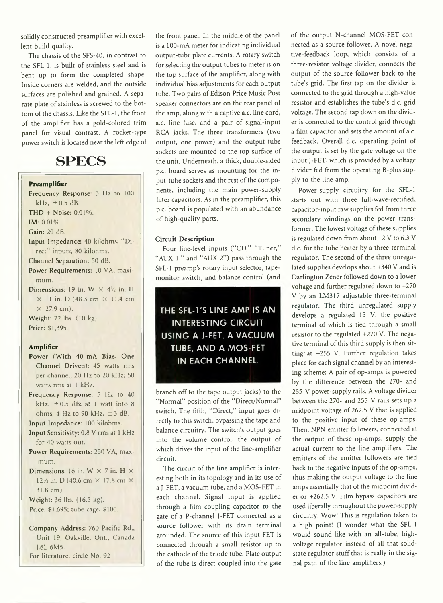solidly constructed preamplifier with excellent build quality.

The chassis of the SFS-40, in contrast to the SFL-1, is built of stainless steel and is bent up to form the completed shape. Inside corners are welded, and the outside surfaces are polished and grained. A separate plate of stainless is screwed to the bottom of the chassis. Like the SFL-1, the front of the amplifier has a gold-colored trim panel for visual contrast. A rocker-type power switch is located near the left edge of

# **SPECS**

#### **Preamplifier**

Frequency Response: 5 Hz to 100 kHz,  $\pm$  0.5 dB. THD + Noise: 0.01%. IM: 0.01%. Gain: 20 dB. Input Impedance: 40 kilohms; " Direct" inputs, 80 kilohms. Channel Separation: 50 dB. Power Requirements: 10 VA, maximum. Dimensions: 19 in. W  $\times$  4 $\frac{1}{2}$  in. H  $\times$  11 in. D (48.3 cm  $\times$  11.4 cm  $\times$  27.9 cm). Weight: 22 lbs. (10 kg). Price: \$1,395.

#### Amplifier

- Power (With 40-mA Bias, One Channel Driven): 45 watts rms per channel, 20 Hz to 20 kHz; 50 watts rms at 1 kHz.
- Frequency Response: 5 Hz to 40 kHz,  $\pm$  0.5 dB; at 1 watt into 8 ohms, 4 Hz to 90 kHz,  $\pm$  3 dB.

Input Impedance: 100 kilohms.

- Input Sensitivity: 0.8 V rms at 1 kHz for 40 watts out.
- Power Requirements: 250 VA, maximum.
- Dimensions: 16 in. W  $\times$  7 in. H  $\times$ 12 $\frac{1}{2}$  in. D (40.6 cm  $\times$  17.8 cm  $\times$ 31.8 cm).

Weight: 36 lbs. (16.5 kg). Price: \$1,695; tube cage, \$100.

Company Address: 760 Pacific Rd., Unit 19, Oakville, Ont., Canada L6L 6M5. For literature, circle No. 92

the front panel. In the middle of the panel is a 100-mA meter for indicating individual output-tube plate currents. A rotary switch for selecting the output tubes to meter is on the top surface of the amplifier, along with individual bias adjustments for each output tube. Two pairs of Edison Price Music Post speaker connectors are on the rear panel of the amp, along with a captive a.c. line cord, a.c. line fuse, and a pair of signal-input RCA jacks. The three transformers (two output, one power) and the output-tube sockets are mounted to the top surface of the unit. Underneath, a thick, double-sided p.c. board serves as mounting for the input-tube sockets and the rest of the components, including the main power-supply filter capacitors. As in the preamplifier, this p.c. board is populated with an abundance of high-quality parts.

#### Circuit Description

Four line-level inputs ("CD," "Tuner," "AUX 1," and "AUX 2") pass through the SFL-1 preamp's rotary input selector, tapemonitor switch, and balance control (and

**THE SFL-VS LINE AMP IS AN INTERESTING CIRCUIT USING A J-FET, A VACUUM TUBE, AND A MOS-FET IN EACH CHANNEL.**

branch off to the tape output jacks) to the "Normal" position of the "Direct/Normal" switch. The fifth, "Direct," input goes directly to this switch, bypassing the tape and balance circuitry. The switch's output goes into the volume control, the output of which drives the input of the line-amplifier circuit.

The circuit of the line amplifier is interesting both in its topology and in its use of a J-FET, a vacuum tube, and a MOS-FET in each channel. Signal input is applied through a film coupling capacitor to the gate of a P-channel J-FET connected as a source follower with its drain terminal grounded. The source of this input FET is connected through a small resistor up to the cathode of the triode tube. Plate output of the tube is direct-coupled into the gate

of the output N-channel MOS-FET connected as a source follower. A novel negative-feedback loop, which consists of a three-resistor voltage divider, connects the output of the source follower back to the tube's grid. The first tap on the divider is connected to the grid through a high-value resistor and establishes the tube's d.c. grid voltage. The second tap down on the divider is connected to the control grid through a film capacitor and sets the amount of a.c. feedback. Overall d.c. operating point of the output is set by the gate voltage on the input J-FET, which is provided by a voltage divider fed from the operating B-plus supply to the line amp.

Power-supply circuitry for the SFL-1 starts out with three full-wave-rectified, capacitor-input raw supplies fed from three secondary windings on the power transformer. The lowest voltage of these supplies is regulated down from about 12 V to 6.3 V d.c. for the tube heater by a three-terminal regulator. The second of the three unregulated supplies develops about +340 V and is Darlington Zener followed down to a lower voltage and further regulated down to +270 V by an LM317 adjustable three-terminal regulator. The third unregulated supply develops a regulated 15 V, the positive terminal of which is tied through a small resistor to the regulated +270 V. The negative terminal of this third supply is then sitting' at +255 V. Further regulation takes place for each signal channel by an interesting scheme: A pair of op-amps is powered by the difference between the 270- and 255-V power-supply rails. A voltage divider between the 270- and 255-V rails sets up a midpoint voltage of 262.5 V that is applied to the positive input of these op-amps. Then, NPN emitter followers, connected at the output of these op-amps, supply the actual current to the line amplifiers. The emitters of the emitter followers are tied back to the negative inputs of the op-amps, thus making the output voltage to the line amps essentially that of the midpoint divider or +262.5 V. Film bypass capacitors are used liberally throughout the power-supply circuitry. Wow! This is regulation taken to a high point! (I wonder what the SFL-1 would sound like with an all-tube, highvoltage regulator instead of all that solidstate regulator stuff that is really in the signal path of the line amplifiers.)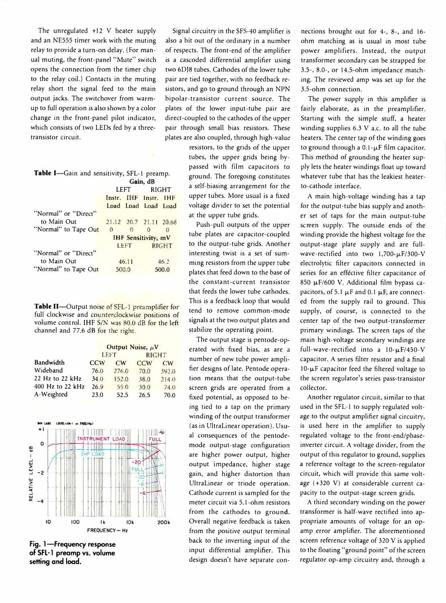The unregulated +12 V heater supply and an NE555 timer work with the muting relay to provide a turn-on delay. (For manual muting, the front-panel "Mute" switch opens the connection from the timer chip to the relay coil.) Contacts in the muting relay short the signal feed to the main output jacks. The switchover from warmup to full operation is also shown by a color change in the front-panel pilot indicator, which consists of two LEDs fed by a threetransistor circuit.

| Table I-Gain and sensitivity, SFL-1 preamp. |                             |       |                        |            |  |  |
|---------------------------------------------|-----------------------------|-------|------------------------|------------|--|--|
|                                             | Gain, dB                    |       |                        |            |  |  |
|                                             |                             |       | LEFT RIGHT             |            |  |  |
|                                             |                             |       | Instr. IHF Instr.      | <b>IHF</b> |  |  |
|                                             |                             |       | Load Load Load Load    |            |  |  |
| "Normal" or "Direct"                        |                             |       |                        |            |  |  |
| to Main Out                                 |                             |       | 21.12 20.7 21.11 20.68 |            |  |  |
| "Normal" to Tape Out                        | $\theta$                    | 0     | n                      | $\Omega$   |  |  |
|                                             | <b>IHF Sensitivity</b> , mV |       |                        |            |  |  |
|                                             | <b>LEFT</b>                 |       | <b>RIGHT</b>           |            |  |  |
| "Normal" or "Direct"                        |                             |       |                        |            |  |  |
| to Main Out                                 |                             | 46.11 |                        | 46.2       |  |  |
| "Normal" to Tape Out                        |                             | 500.0 |                        | 500.0      |  |  |

Table II-Output noise of SFL-1 preamplifier for full clockwise and counterclockwise positions of volume control. IHF S/N was 80.0 dB for the left channel and 77.6 dB for the right.

|                     | Output Noise, $\mu$ V |               |            |       |
|---------------------|-----------------------|---------------|------------|-------|
|                     | <b>LEFT</b>           |               | RIGHT      |       |
| Bandwidth           | CCW                   | $\mathbb{C}W$ | <b>CCW</b> | CW    |
| Wideband            | 76.0                  | 276.0         | 70.0       | 392.0 |
| $22$ Hz to $22$ kHz | 34.0                  | 152.0         | 38.0       | 214.0 |
| 400 Hz to 22 kHz    | 26.9                  | 55.0          | 30.0       | 74.0  |
| A-Weighted          | 23.0                  | 52.5          | 26.5       | 70.0  |



**setting and load.**

Signal circuitry in the SFS-40 amplifier is also a bit out of the ordinary in a number of respects. The front-end of the amplifier is a cascoded differential amplifier using two 6DJ8 tubes. Cathodes of the lower tube pair are tied together, with no feedback resistors, and go to ground through an NPN bipolar-transistor current source. The plates of the lower input-tube pair are direct-coupled to the cathodes of the upper pair through small bias resistors. These plates are also coupled, through high-value

> resistors, to the grids of the upper tubes, the upper grids being bypassed with film capacitors to ground. The foregoing constitutes a self-biasing arrangement for the upper tubes. More usual is a fixed voltage divider to set the potential at the upper tube grids.

> Push-pull outputs of the upper tube plates are capacitor-coupled to the output-tube grids. Another interesting twist is a set of summing resistors from the upper tube plates that feed down to the base of the constant-current transistor that feeds the lower tube cathodes. This is a feedback loop that would tend to remove common-mode signals at the two output plates and stabilize the operating point.

> The output stage is pentode-operated with fixed bias, as are a number of new tube power amplifier designs of late. Pentode operation means that the output-tube screen grids are operated from a fixed potential, as opposed to being tied to a tap on the primary winding of the output transformer (as in UltraLinear operation). Usual consequences of the pentodemode output-stage configuration are higher power output, higher output impedance, higher stage gain, and higher distortion than UltraLinear or triode operation. Cathode current is sampled for the meter circuit via 5.1-ohm resistors from the cathodes to ground. Overall negative feedback is taken from the positive output terminal back to the inverting input of the input differential amplifier. This design doesn't have separate con

nections brought out for 4-, 8-, and 16 ohm matching as is usual in most tube power amplifiers. Instead, the output transformer secondary can be strapped for 3.5- , 8.0-, or 14.5-ohm impedance matching. The reviewed amp was set up for the 3.5- ohm connection.

The power supply in this amplifier is fairly elaborate, as in the preamplifier. Starting with the simple stuff, a heater winding supplies 6.3 V a.c. to all the tube heaters. The center tap of the winding goes to ground through a  $0.1$ - $\mu$ F film capacitor. This method of grounding the heater supply lets the heater windings float up toward whatever tube that has the leakiest heaterto-cathode interface.

A main high-voltage winding has a tap for the output-tube bias supply and another set of taps for the main output-tube screen supply. The outside ends of the winding provide the highest voltage for the output-stage plate supply and are fullwave-rectified into two  $1,700-\mu$ F/300-V electrolytic filter capacitors connected in series for an effective filter capacitance of 850  $\mu$ F/600 V. Additional film bypass capacitors, of 5.1  $\mu$ F and 0.1  $\mu$ F, are connected from the supply rail to ground. This supply, of course, is connected to the center tap of the two output-transformer primary windings. The screen taps of the main high-voltage secondary windings are full-wave-rectified into a  $10-\mu$ F/450-V capacitor. A series filter resistor and a final  $10$ - $\mu$ F capacitor feed the filtered voltage to the screen regulator's series pass-transistor collector.

Another regulator circuit, similar to that used in the SFL-1 to supply regulated voltage to the output amplifier signal circuitry, is used here in the amplifier to supply regulated voltage to the front-end/phaseinverter circuit. A voltage divider, from the output of this regulator to ground, supplies a reference voltage to the screen-regulator circuit, which will provide this same voltage (+320 V) at considerable current capacity to the output-stage screen grids.

A third secondary winding on the power transformer is half-wave rectified into appropriate amounts of voltage for an opamp error amplifier. The aforementioned screen reference voltage of 320 V is applied to the floating "ground point" of the screen regulator op-amp circuitry and, through a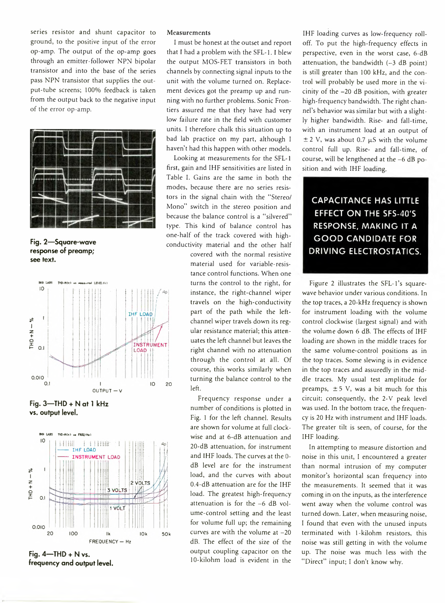series resistor and shunt capacitor to ground, to the positive input of the error op-amp. The output of the op-amp goes through an emitter-follower NPN bipolar transistor and into the base of the series pass NPN transistor that supplies the output-tube screens; 100% feedback is taken from the output back to the negative input of the error op-amp.



**Fig. 2— Square-wave response of preamp; see text.**



**Fig. 3—THD + N at 1 kHz vs. output level.**



**Fig. 4—THD + N vs. frequency and output level.**

#### Measurements

I must be honest at the outset and report that I had a problem with the SFL-1. I blew the output MOS-FET transistors in both channels by connecting signal inputs to the unit with the volume turned on. Replacement devices got the preamp up and running with no further problems. Sonic Frontiers assured me that they have had very low failure rate in the field with customer units. I therefore chalk this situation up to bad lab practice on my part, although I haven't had this happen with other models.

Looking at measurements for the SFL-1 first, gain and IHF sensitivities are listed in Table I. Gains are the same in both the modes, because there are no series resistors in the signal chain with the "Stereo/ Mono" switch in the stereo position and because the balance control is a "silvered" type. This kind of balance control has one-half of the track covered with highconductivity material and the other half covered with the normal resistive material used for variable-resistance control functions. When one turns the control to the right, for instance, the right-channel wiper travels on the high-conductivity part of the path while the leftchannel wiper travels down its regular resistance material; this attenuates the left channel but leaves the right channel with no attenuation through the control at all. Of course, this works similarly when turning the balance control to the left.

> Frequency response under a number of conditions is plotted in Fig. 1 for the left channel. Results are shown for volume at full clockwise and at 6-dB attenuation and 20-dB attenuation, for instrument and IHF loads. The curves at the 0 dB level are for the instrument load, and the curves with about 0.4-dB attenuation are for the IHF load. The greatest high-frequency attenuation is for the -6 dB volume-control setting and the least for volume full up; the remaining curves are with the volume at  $-20$ dB. The effect of the size of the output coupling capacitor on the 10-kilohm load is evident in the

IHF loading curves as low-frequency rolloff. To put the high-frequency effects in perspective, even in the worst case, 6-dB attenuation, the bandwidth  $(-3$  dB point) is still greater than 100 kHz, and the control will probably be used more in the vicinity of the -20 dB position, with greater high-frequency bandwidth. The right channel's behavior was similar but with a slightly higher bandwidth. Rise- and fall-time, with an instrument load at an output of  $\pm$  2 V, was about 0.7  $\mu$ S with the volume control full up. Rise- and fall-time, of course, will be lengthened at the -6 dB position and with IHF loading.

**CAPACITANCE HAS LITTLE EFFECT ON THE SFS-40'S RESPONSE, MAKING IT A GOOD CANDIDATE FOR DRIVING ELECTROSTATICS.**

Figure 2 illustrates the SFL-1's squarewave behavior under various conditions. In the top traces, a 20-kHz frequency is shown for instrument loading with the volume control clockwise (largest signal) and with the volume down 6 dB. The effects of IHF loading are shown in the middle traces for the same volume-control positions as in the top traces. Some slewing is in evidence in the top traces and assuredly in the middle traces. My usual test amplitude for preamps,  $\pm$  5 V, was a bit much for this circuit; consequently, the 2-V peak level was used. In the bottom trace, the frequency is 20 Hz with instrument and IHF loads. The greater tilt is seen, of course, for the IHF loading.

In attempting to measure distortion and noise in this unit, I encountered a greater than normal intrusion of my computer monitor's horizontal scan frequency into the measurements. It seemed that it was coming in on the inputs, as the interference went away when the volume control was turned down. Later, when measuring noise, I found that even with the unused inputs terminated with 1-kilohm resistors, this noise was still getting in with the volume up. The noise was much less with the "Direct" input; I don't know why.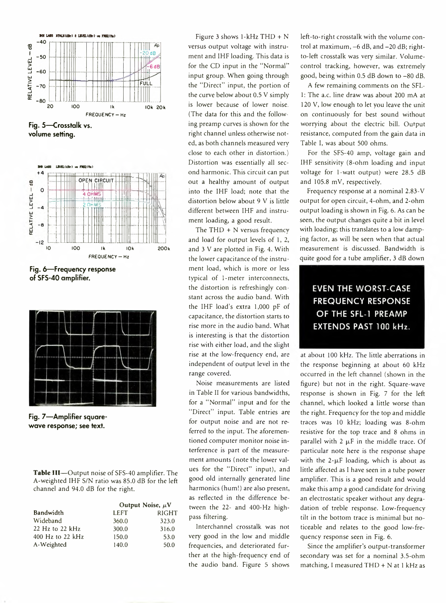

**Fig. 5— Crosstalk vs. volume setting.**



**Fig. 6— Frequency response of SFS-40 amplifier.**



**Fig. 7—Amplifier squarewave response; see text.**

Table III— Output noise of SFS-40 amplifier. The A-weighted IHF S/N ratio was 85.0 dB for the left channel and 94.0 dB for the right.

|                     | Output Noise, $\mu$ V |              |  |
|---------------------|-----------------------|--------------|--|
| Bandwidth           | LEFT                  | <b>RIGHT</b> |  |
| Wideband            | 360.0                 | 323.0        |  |
| $22$ Hz to $22$ kHz | 300.0                 | 316.0        |  |
| 400 Hz to 22 kHz    | 150.0                 | 53.0         |  |
| A-Weighted          | 140.0                 | 50.0         |  |

Figure 3 shows 1-kFIz THD + N versus output voltage with instrument and IHF loading. This data is for the CD input in the "Normal" input group. When going through the "Direct" input, the portion of the curve below about 0.5 V simply is lower because of lower noise. (The data for this and the following preamp curves is shown for the right channel unless otherwise noted, as both channels measured very close to each other in distortion.) Distortion was essentially all second harmonic. This circuit can put out a healthy amount of output into the IHF load; note that the distortion below about 9 V is little different between IHF and instrument loading, a good result.

The THD + N versus frequency and load for output levels of 1, 2, and 3 V are plotted in Fig. 4. With the lower capacitance of the instrument load, which is more or less typical of 1-meter interconnects, the distortion is refreshingly constant across the audio band. With the IHF load's extra 1,000 pF of capacitance, the distortion starts to rise more in the audio band. What is interesting is that the distortion rise with either load, and the slight rise at the low-frequency end, are independent of output level in the range covered.

Noise measurements are listed in Table II for various bandwidths, for a "Normal" input and for the " Direct" input. Table entries are for output noise and are not referred to the input. The aforementioned computer monitor noise interference is part of the measurement amounts (note the lower values for the "Direct" input), and good old internally generated line harmonics (hum!) are also present, as reflected in the difference between the 22- and 400-Hz highpass filtering.

Interchannel crosstalk was not very good in the low and middle frequencies, and deteriorated further at the high-frequency end of the audio band. Figure 5 shows

left-to-right crosstalk with the volume control at maximum, -6 dB, and -20 dB; rightto-left crosstalk was very similar. Volumecontrol tracking, however, was extremely good, being within 0.5 dB down to -80 dB.

A few remaining comments on the SFL-1: The a.c. line draw was about 200 mA at 120 V, low enough to let you leave the unit on continuously for best sound without worrying about the electric bill. Output resistance, computed from the gain data in Table I, was about 500 ohms.

For the SFS-40 amp, voltage gain and IHF sensitivity (8-ohm loading and input voltage for 1-watt output) were 28.5 dB and 105.8 mV, respectively.

Frequency response at a nominal 2.83-V output for open circuit, 4-ohm, and 2-ohm output loading is shown in Fig. 6. As can be seen, the output changes quite a bit in level with loading; this translates to a low damping factor, as will be seen when that actual measurement is discussed. Bandwidth is quite good for a tube amplifier, 3 dB down

# **EVEN THE WORST-CASE FREQUENCY RESPONSE OF THE SFL-1 PREAMP EXTENDS PAST 100 kHz.**

at about 100 kHz. The little aberrations in the response beginning at about 60 kHz occurred in the left channel (shown in the figure) but not in the right. Square-wave response is shown in Fig. 7 for the left channel, which looked a little worse than the right. Frequency for the top and middle traces was 10 kHz; loading was 8-ohm resistive for the top trace and 8 ohms in parallel with  $2 \mu$ F in the middle trace. Of particular note here is the response shape with the  $2-\mu F$  loading, which is about as little affected as I have seen in a tube power amplifier. This is a good result and would make this amp a good candidate for driving an electrostatic speaker without any degradation of treble response. Low-frequency tilt in the bottom trace is minimal but noticeable and relates to the good low-frequency response seen in Fig. 6.

Since the amplifier's output-transformer secondary was set for a nominal 3.5-ohm matching, I measured THD + N at 1 kHz as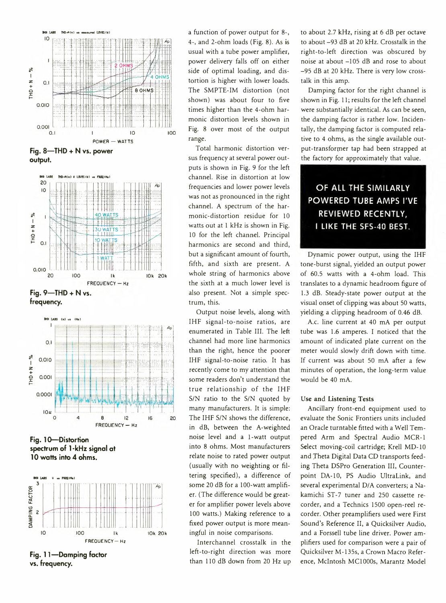

**Fig. 8—THD + N vs. power output.**



**frequency.**



**Fig. 10— Distortion spectrum of 1-kHz signal at 10 watts into 4 ohms.**



**Fig. 11— Damping factor vs. frequency.**

a function of power output for 8-, 4-, and 2-ohm loads (Fig. 8). As is usual with a tube power amplifier, power delivery falls off on either side of optimal loading, and distortion is higher with lower loads. The SMPTE-IM distortion (not shown) was about four to five times higher than the 4-ohm harmonic distortion levels shown in Fig. 8 over most of the output range.

Total harmonic distortion versus frequency at several power outputs is shown in Fig. 9 for the left channel. Rise in distortion at low frequencies and lower power levels was not as pronounced in the right channel. A spectrum of the harmonic-distortion residue for 10 watts out at 1 kHz is shown in Fig. 10 for the left channel. Principal harmonics are second and third, but a significant amount of fourth, fifth, and sixth are present. A whole string of harmonics above the sixth at a much lower level is also present. Not a simple spectrum, this.

Output noise levels, along with IHF signal-to-noise ratios, are enumerated in Table III. The left channel had more line harmonics than the right, hence the poorer IHF signal-to-noise ratio. It has recently come to my attention that some readers don't understand the true relationship of the IHF S/N ratio to the S/N quoted by many manufacturers. It is simple: The IHF S/N shows the difference, in dB, between the A-weighted noise level and a 1-watt output into 8 ohms. Most manufacturers relate noise to rated power output (usually with no weighting or filtering specified), a difference of some 20 dB for a 100-watt amplifier. (The difference would be greater for amplifier power levels above 100 watts.) Making reference to a fixed power output is more meaningful in noise comparisons.

Interchannel crosstalk in the left-to-right direction was more than 110 dB down from 20 Hz up

to about 2.7 kHz, rising at 6 dB per octave to about -93 dB at 20 kHz. Crosstalk in the right-to-left direction was obscured by noise at about -105 dB and rose to about -95 dB at 20 kHz. There is very low crosstalk in this amp.

Damping factor for the right channel is shown in Fig. 11; results for the left channel were substantially identical. As can be seen, the damping factor is rather low. Incidentally, the damping factor is computed relative to 4 ohms, as the single available output-transforrner tap had been strapped at the factory for approximately that value.

### **OF ALL THE SIMILARLY POWERED TUBE AMPS I'VE REVIEWED RECENTLY, I LIKE THE SFS-40 BEST.**

Dynamic power output, using the IHF tone-burst signal, yielded an output power of 60.5 watts with a 4-ohm load. This translates to a dynamic headroom figure of 1.3 dB. Steady-state power output at the visual onset of clipping was about 50 watts, yielding a clipping headroom of 0.46 dB.

A.c. line current at 40 mA per output tube was 1.6 amperes. I noticed that the amount of indicated plate current on the meter would slowly drift down with time. If current was about 50 mA after a few minutes of operation, the long-term value would be 40 mA.

#### Use and Listening Tests

Ancillary front-end equipment used to evaluate the Sonic Frontiers units included an Oracle turntable fitted with a Well Tempered Arm and Spectral Audio MCR-1 Select moving-coil cartridge; Krell MD-10 and Theta Digital Data CD transports feeding Theta DSPro Generation III, Counterpoint DA-10, PS Audio UltraLink, and several experimental D/A converters; a Nakamichi ST-7 tuner and 250 cassette recorder, and a Technics 1500 open-reel recorder. Other preamplifiers used were First Sound's Reference II, a Quicksilver Audio, and a Forssell tube line driver. Power amplifiers used for comparison were a pair of Quicksilver M-135s, a Crown Macro Reference, McIntosh MClOOOs, Marantz Model